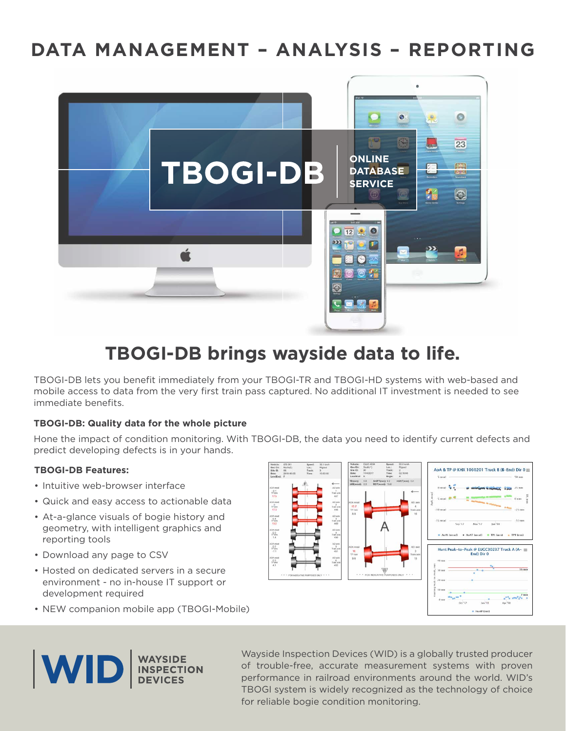# **DATA MANAGEMENT – ANALYSIS – REPORTING**



# **TBOGI-DB brings wayside data to life.**

TBOGI-DB lets you beneft immediately from your TBOGI-TR and TBOGI-HD systems with web-based and mobile access to data from the very frst train pass captured. No additional IT investment is needed to see immediate benefits.

## **TBOGI-DB: Quality data for the whole picture**

Hone the impact of condition monitoring. With TBOGI-DB, the data you need to identify current defects and predict developing defects is in your hands.

#### **TBOGI-DB Features:**

- Intuitive web-browser interface
- Quick and easy access to actionable data
- At-a-glance visuals of bogie history and geometry, with intelligent graphics and reporting tools
- Download any page to CSV
- Hosted on dedicated servers in a secure environment - no in-house IT support or development required
- NEW companion mobile app (TBOGI-Mobile)





Wayside Inspection Devices (WID) is a globally trusted producer of trouble-free, accurate measurement systems with proven performance in railroad environments around the world. WID's TBOGI system is widely recognized as the technology of choice for reliable bogie condition monitoring.